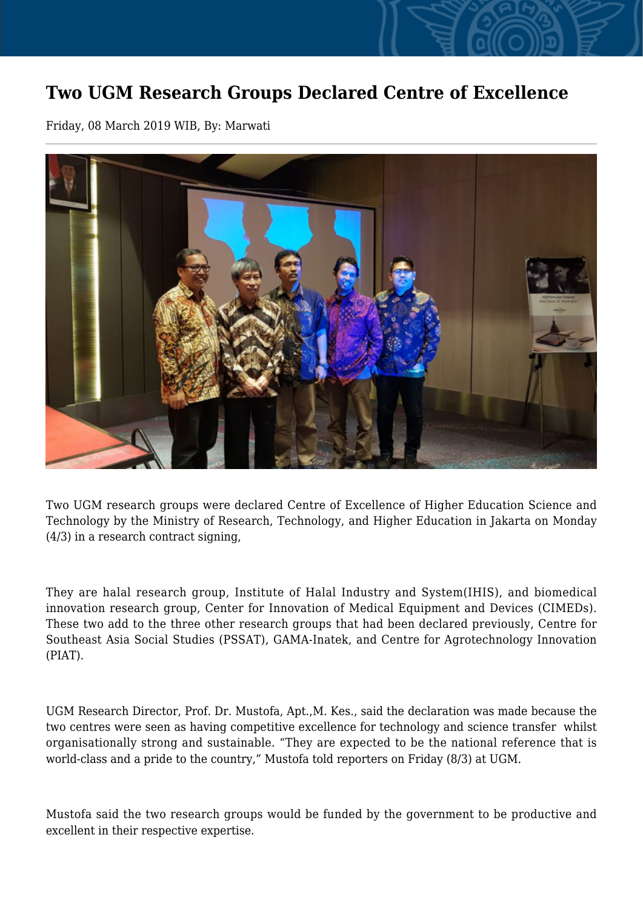## **Two UGM Research Groups Declared Centre of Excellence**

Friday, 08 March 2019 WIB, By: Marwati



Two UGM research groups were declared Centre of Excellence of Higher Education Science and Technology by the Ministry of Research, Technology, and Higher Education in Jakarta on Monday (4/3) in a research contract signing,

They are halal research group, Institute of Halal Industry and System(IHIS), and biomedical innovation research group, Center for Innovation of Medical Equipment and Devices (CIMEDs). These two add to the three other research groups that had been declared previously, Centre for Southeast Asia Social Studies (PSSAT), GAMA-Inatek, and Centre for Agrotechnology Innovation (PIAT).

UGM Research Director, Prof. Dr. Mustofa, Apt.,M. Kes., said the declaration was made because the two centres were seen as having competitive excellence for technology and science transfer whilst organisationally strong and sustainable. "They are expected to be the national reference that is world-class and a pride to the country," Mustofa told reporters on Friday (8/3) at UGM.

Mustofa said the two research groups would be funded by the government to be productive and excellent in their respective expertise.